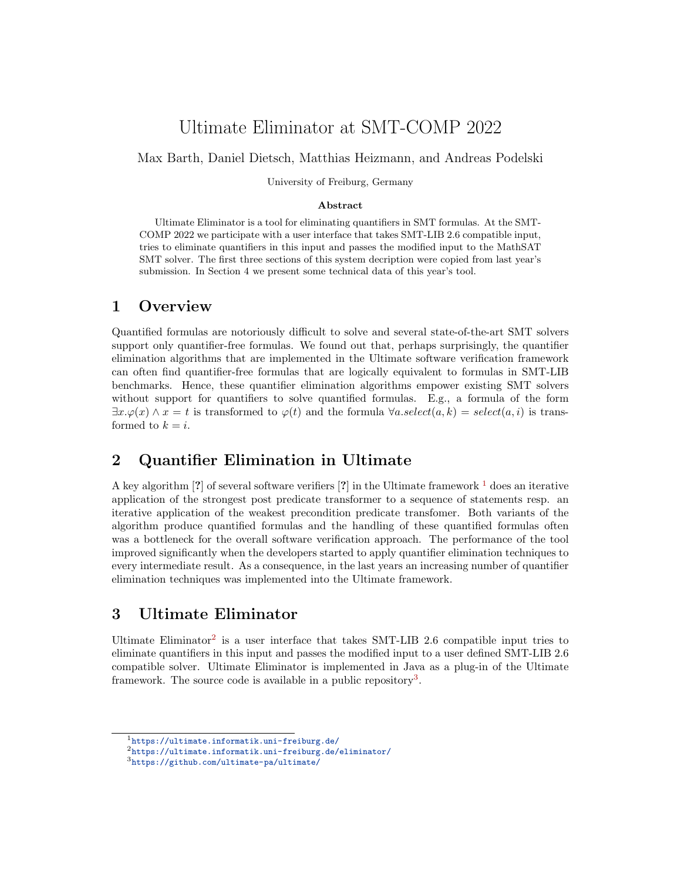# Ultimate Eliminator at SMT-COMP 2022

Max Barth, Daniel Dietsch, Matthias Heizmann, and Andreas Podelski

University of Freiburg, Germany

#### Abstract

Ultimate Eliminator is a tool for eliminating quantifiers in SMT formulas. At the SMT-COMP 2022 we participate with a user interface that takes SMT-LIB 2.6 compatible input, tries to eliminate quantifiers in this input and passes the modified input to the MathSAT SMT solver. The first three sections of this system decription were copied from last year's submission. In Section 4 we present some technical data of this year's tool.

#### 1 Overview

Quantified formulas are notoriously difficult to solve and several state-of-the-art SMT solvers support only quantifier-free formulas. We found out that, perhaps surprisingly, the quantifier elimination algorithms that are implemented in the Ultimate software verification framework can often find quantifier-free formulas that are logically equivalent to formulas in SMT-LIB benchmarks. Hence, these quantifier elimination algorithms empower existing SMT solvers without support for quantifiers to solve quantified formulas. E.g., a formula of the form  $\exists x.\varphi(x) \wedge x = t$  is transformed to  $\varphi(t)$  and the formula  $\forall a.select(a, k) = select(a, i)$  is transformed to  $k = i$ .

#### 2 Quantifier Elimination in Ultimate

A key algorithm [?] of several software verifiers [?] in the Ultimate framework  $\frac{1}{1}$  $\frac{1}{1}$  $\frac{1}{1}$  does an iterative application of the strongest post predicate transformer to a sequence of statements resp. an iterative application of the weakest precondition predicate transfomer. Both variants of the algorithm produce quantified formulas and the handling of these quantified formulas often was a bottleneck for the overall software verification approach. The performance of the tool improved significantly when the developers started to apply quantifier elimination techniques to every intermediate result. As a consequence, in the last years an increasing number of quantifier elimination techniques was implemented into the Ultimate framework.

## 3 Ultimate Eliminator

Ultimate Eliminator<sup>[2](#page-0-1)</sup> is a user interface that takes SMT-LIB 2.6 compatible input tries to eliminate quantifiers in this input and passes the modified input to a user defined SMT-LIB 2.6 compatible solver. Ultimate Eliminator is implemented in Java as a plug-in of the Ultimate framework. The source code is available in a public repository<sup>[3](#page-0-2)</sup>.

<span id="page-0-0"></span><sup>1</sup><https://ultimate.informatik.uni-freiburg.de/>

<span id="page-0-1"></span><sup>2</sup><https://ultimate.informatik.uni-freiburg.de/eliminator/>

<span id="page-0-2"></span><sup>3</sup><https://github.com/ultimate-pa/ultimate/>